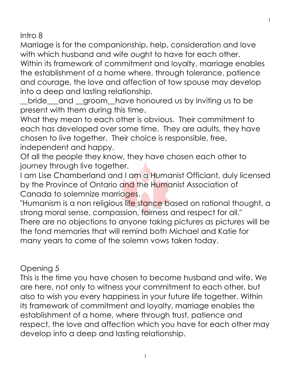Intro 8

Marriage is for the companionship, help, consideration and love with which husband and wife ought to have for each other.

Within its framework of commitment and loyalty, marriage enables the establishment of a home where, through tolerance, patience and courage, the love and affection of tow spouse may develop into a deep and lasting relationship.

\_\_bride\_\_\_and \_\_groom\_\_have honoured us by inviting us to be present with them during this time.

What they mean to each other is obvious. Their commitment to each has developed over some time. They are adults, they have chosen to live together. Their choice is responsible, free, independent and happy.

Of all the people they know, they have chosen each other to journey through live together.

I am Lise Chamberland and I am a Humanist Officiant, duly licensed by the Province of Ontario and the Humanist Association of Canada to solemnize marriages.

"Humanism is a non religious life stance based on rational thought, a strong moral sense, compassion, fairness and respect for all." There are no objections to anyone taking pictures as pictures will be the fond memories that will remind both Michael and Katie for many years to come of the solemn vows taken today.

Opening 5

This is the time you have chosen to become husband and wife. We are here, not only to witness your commitment to each other, but also to wish you every happiness in your future life together. Within its framework of commitment and loyalty, marriage enables the establishment of a home, where through trust, patience and respect, the love and affection which you have for each other may develop into a deep and lasting relationship.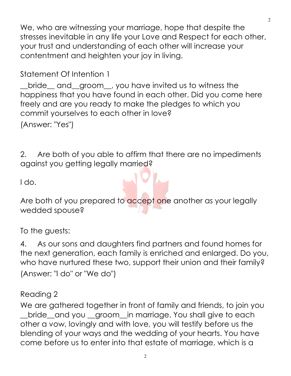We, who are witnessing your marriage, hope that despite the stresses inevitable in any life your Love and Respect for each other, your trust and understanding of each other will increase your contentment and heighten your joy in living.

Statement Of Intention 1

\_\_bride\_\_ and\_\_groom\_\_, you have invited us to witness the happiness that you have found in each other. Did you come here freely and are you ready to make the pledges to which you commit yourselves to each other in love? (Answer: "Yes")

2. Are both of you able to affirm that there are no impediments against you getting legally married?

I do.

Are both of you prepared to accept one another as your legally wedded spouse?

To the guests:

4. As our sons and daughters find partners and found homes for the next generation, each family is enriched and enlarged. Do you, who have nurtured these two, support their union and their family? (Answer: "I do" or "We do")

## Reading 2

We are gathered together in front of family and friends, to join you \_\_bride\_\_and you \_\_groom\_\_in marriage. You shall give to each other a vow, lovingly and with love, you will testify before us the blending of your ways and the wedding of your hearts. You have come before us to enter into that estate of marriage, which is a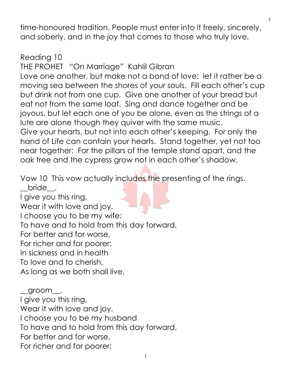time-honoured tradition. People must enter into it freely, sincerely, and soberly, and in the joy that comes to those who truly love.

Reading 10 THE PROHET "On Marriage" Kahlil Gibran Love one another, but make not a bond of love: let it rather be a moving sea between the shores of your souls. Fill each other's cup but drink not from one cup. Give one another of your bread but eat not from the same loaf. Sing and dance together and be joyous, but let each one of you be alone, even as the strings of a lute are alone though they quiver with the same music. Give your hearts, but not into each other's keeping. For only the hand of Life can contain your hearts. Stand together, yet not too near together: For the pillars of the temple stand apart, and the oak tree and the cypress grow not in each other's shadow.

Vow 10 This vow actually includes the presenting of the rings. bride,

I give you this ring,

Wear it with love and joy.

I choose you to be my wife:

To have and to hold from this day forward,

For better and for worse,

For richer and for poorer;

In sickness and in health

To love and to cherish,

As long as we both shall live.

 $g$ room $\_\_$ I give you this ring, Wear it with love and joy. I choose you to be my husband To have and to hold from this day forward, For better and for worse, For richer and for poorer;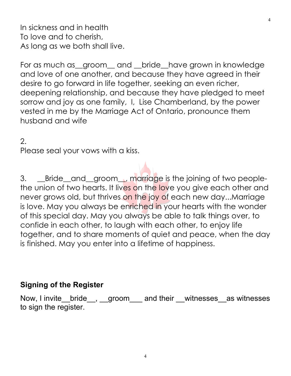In sickness and in health To love and to cherish, As long as we both shall live.

For as much as groom and bride have grown in knowledge and love of one another, and because they have agreed in their desire to go forward in life together, seeking an even richer, deepening relationship, and because they have pledged to meet sorrow and joy as one family, I, Lise Chamberland, by the power vested in me by the Marriage Act of Ontario, pronounce them husband and wife

2.

Please seal your vows with a kiss.

3. \_\_Bride\_and\_groom\_, marriage is the joining of two peoplethe union of two hearts. It lives on the love you give each other and never grows old, but thrives on the joy of each new day...Marriage is love. May you always be enriched in your hearts with the wonder of this special day. May you always be able to talk things over, to confide in each other, to laugh with each other, to enjoy life together, and to share moments of quiet and peace, when the day is finished. May you enter into a lifetime of happiness.

## **Signing of the Register**

Now, I invite\_\_bride\_\_, \_\_groom\_\_\_ and their \_\_witnesses\_\_as witnesses to sign the register.

4